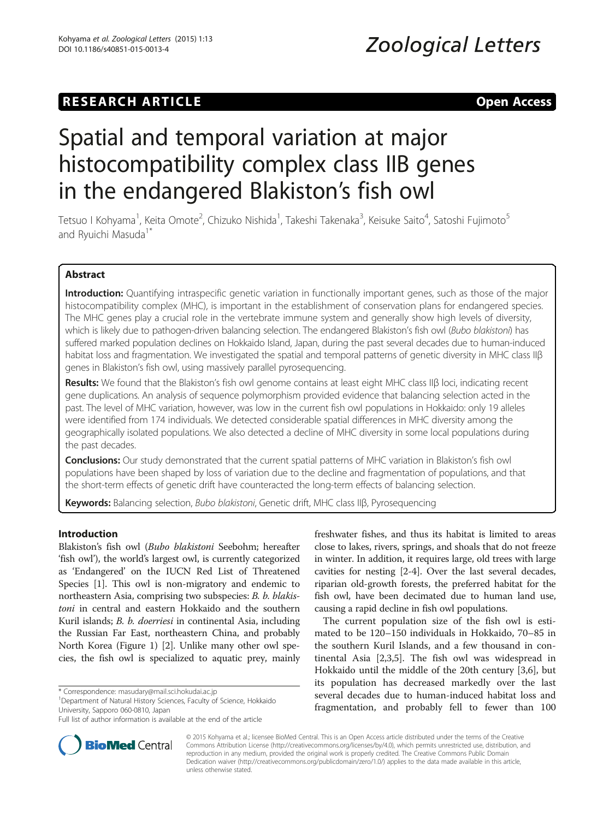## **RESEARCH ARTICLE Example 2018** Open Access

# Spatial and temporal variation at major histocompatibility complex class IIB genes in the endangered Blakiston's fish owl

Tetsuo I Kohyama<sup>1</sup>, Keita Omote<sup>2</sup>, Chizuko Nishida<sup>1</sup>, Takeshi Takenaka<sup>3</sup>, Keisuke Saito<sup>4</sup>, Satoshi Fujimoto<sup>5</sup> and Ryuichi Masuda<sup>1\*</sup>

### Abstract

Introduction: Quantifying intraspecific genetic variation in functionally important genes, such as those of the major histocompatibility complex (MHC), is important in the establishment of conservation plans for endangered species. The MHC genes play a crucial role in the vertebrate immune system and generally show high levels of diversity, which is likely due to pathogen-driven balancing selection. The endangered Blakiston's fish owl (Bubo blakistoni) has suffered marked population declines on Hokkaido Island, Japan, during the past several decades due to human-induced habitat loss and fragmentation. We investigated the spatial and temporal patterns of genetic diversity in MHC class IIβ genes in Blakiston's fish owl, using massively parallel pyrosequencing.

Results: We found that the Blakiston's fish owl genome contains at least eight MHC class II $\beta$  loci, indicating recent gene duplications. An analysis of sequence polymorphism provided evidence that balancing selection acted in the past. The level of MHC variation, however, was low in the current fish owl populations in Hokkaido: only 19 alleles were identified from 174 individuals. We detected considerable spatial differences in MHC diversity among the geographically isolated populations. We also detected a decline of MHC diversity in some local populations during the past decades.

**Conclusions:** Our study demonstrated that the current spatial patterns of MHC variation in Blakiston's fish owl populations have been shaped by loss of variation due to the decline and fragmentation of populations, and that the short-term effects of genetic drift have counteracted the long-term effects of balancing selection.

Keywords: Balancing selection, Bubo blakistoni, Genetic drift, MHC class IIB, Pyrosequencing

#### Introduction

Blakiston's fish owl (Bubo blakistoni Seebohm; hereafter 'fish owl'), the world's largest owl, is currently categorized as 'Endangered' on the IUCN Red List of Threatened Species [[1\]](#page-9-0). This owl is non-migratory and endemic to northeastern Asia, comprising two subspecies: B. b. blakistoni in central and eastern Hokkaido and the southern Kuril islands; B. b. doerriesi in continental Asia, including the Russian Far East, northeastern China, and probably North Korea (Figure [1\)](#page-1-0) [\[2\]](#page-9-0). Unlike many other owl species, the fish owl is specialized to aquatic prey, mainly

<sup>1</sup>Department of Natural History Sciences, Faculty of Science, Hokkaido University, Sapporo 060-0810, Japan

freshwater fishes, and thus its habitat is limited to areas close to lakes, rivers, springs, and shoals that do not freeze in winter. In addition, it requires large, old trees with large cavities for nesting [[2-4\]](#page-9-0). Over the last several decades, riparian old-growth forests, the preferred habitat for the fish owl, have been decimated due to human land use, causing a rapid decline in fish owl populations.

The current population size of the fish owl is estimated to be 120–150 individuals in Hokkaido, 70–85 in the southern Kuril Islands, and a few thousand in continental Asia [[2,3,5\]](#page-9-0). The fish owl was widespread in Hokkaido until the middle of the 20th century [\[3,6](#page-9-0)], but its population has decreased markedly over the last several decades due to human-induced habitat loss and fragmentation, and probably fell to fewer than 100



© 2015 Kohyama et al.; licensee BioMed Central. This is an Open Access article distributed under the terms of the Creative Commons Attribution License [\(http://creativecommons.org/licenses/by/4.0\)](http://creativecommons.org/licenses/by/4.0), which permits unrestricted use, distribution, and reproduction in any medium, provided the original work is properly credited. The Creative Commons Public Domain Dedication waiver [\(http://creativecommons.org/publicdomain/zero/1.0/](http://creativecommons.org/publicdomain/zero/1.0/)) applies to the data made available in this article, unless otherwise stated.

<sup>\*</sup> Correspondence: [masudary@mail.sci.hokudai.ac.jp](mailto:masudary@mail.sci.hokudai.ac.jp) <sup>1</sup>

Full list of author information is available at the end of the article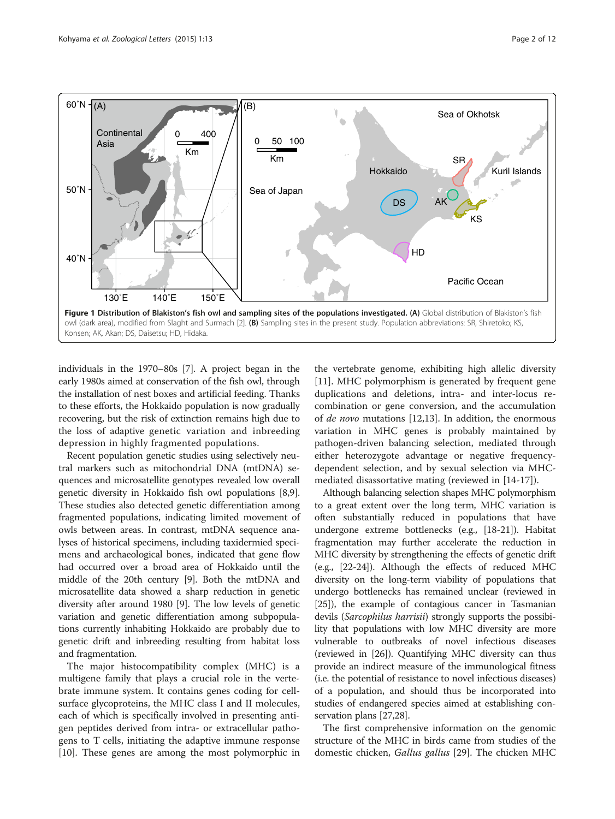60°N $\overline{A(A)}$ 

<span id="page-1-0"></span>



individuals in the 1970–80s [[7](#page-9-0)]. A project began in the early 1980s aimed at conservation of the fish owl, through the installation of nest boxes and artificial feeding. Thanks to these efforts, the Hokkaido population is now gradually recovering, but the risk of extinction remains high due to the loss of adaptive genetic variation and inbreeding depression in highly fragmented populations.

Recent population genetic studies using selectively neutral markers such as mitochondrial DNA (mtDNA) sequences and microsatellite genotypes revealed low overall genetic diversity in Hokkaido fish owl populations [[8](#page-9-0),[9](#page-9-0)]. These studies also detected genetic differentiation among fragmented populations, indicating limited movement of owls between areas. In contrast, mtDNA sequence analyses of historical specimens, including taxidermied specimens and archaeological bones, indicated that gene flow had occurred over a broad area of Hokkaido until the middle of the 20th century [\[9](#page-9-0)]. Both the mtDNA and microsatellite data showed a sharp reduction in genetic diversity after around 1980 [\[9\]](#page-9-0). The low levels of genetic variation and genetic differentiation among subpopulations currently inhabiting Hokkaido are probably due to genetic drift and inbreeding resulting from habitat loss and fragmentation.

The major histocompatibility complex (MHC) is a multigene family that plays a crucial role in the vertebrate immune system. It contains genes coding for cellsurface glycoproteins, the MHC class I and II molecules, each of which is specifically involved in presenting antigen peptides derived from intra- or extracellular pathogens to T cells, initiating the adaptive immune response [[10\]](#page-9-0). These genes are among the most polymorphic in the vertebrate genome, exhibiting high allelic diversity [[11\]](#page-9-0). MHC polymorphism is generated by frequent gene duplications and deletions, intra- and inter-locus recombination or gene conversion, and the accumulation of de novo mutations [\[12,13](#page-9-0)]. In addition, the enormous variation in MHC genes is probably maintained by pathogen-driven balancing selection, mediated through either heterozygote advantage or negative frequencydependent selection, and by sexual selection via MHCmediated disassortative mating (reviewed in [\[14](#page-9-0)-[17\]](#page-9-0)).

Although balancing selection shapes MHC polymorphism to a great extent over the long term, MHC variation is often substantially reduced in populations that have undergone extreme bottlenecks (e.g., [[18](#page-9-0)-[21](#page-10-0)]). Habitat fragmentation may further accelerate the reduction in MHC diversity by strengthening the effects of genetic drift (e.g., [\[22-24\]](#page-10-0)). Although the effects of reduced MHC diversity on the long-term viability of populations that undergo bottlenecks has remained unclear (reviewed in [[25](#page-10-0)]), the example of contagious cancer in Tasmanian devils (Sarcophilus harrisii) strongly supports the possibility that populations with low MHC diversity are more vulnerable to outbreaks of novel infectious diseases (reviewed in [\[26\]](#page-10-0)). Quantifying MHC diversity can thus provide an indirect measure of the immunological fitness (i.e. the potential of resistance to novel infectious diseases) of a population, and should thus be incorporated into studies of endangered species aimed at establishing conservation plans [[27,28\]](#page-10-0).

The first comprehensive information on the genomic structure of the MHC in birds came from studies of the domestic chicken, Gallus gallus [\[29](#page-10-0)]. The chicken MHC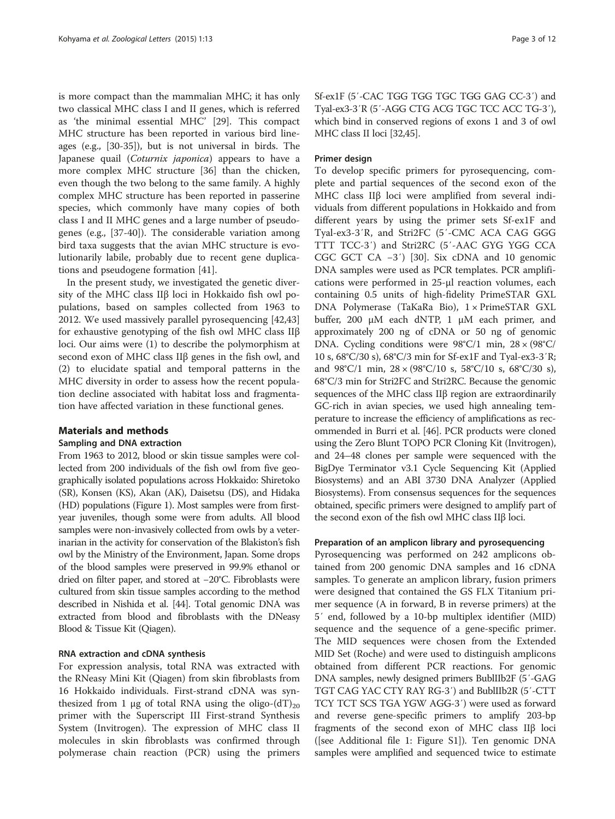is more compact than the mammalian MHC; it has only two classical MHC class I and II genes, which is referred as 'the minimal essential MHC' [\[29](#page-10-0)]. This compact MHC structure has been reported in various bird lineages (e.g., [\[30-35](#page-10-0)]), but is not universal in birds. The Japanese quail (Coturnix japonica) appears to have a more complex MHC structure [\[36\]](#page-10-0) than the chicken, even though the two belong to the same family. A highly complex MHC structure has been reported in passerine species, which commonly have many copies of both class I and II MHC genes and a large number of pseudogenes (e.g., [\[37-40](#page-10-0)]). The considerable variation among bird taxa suggests that the avian MHC structure is evolutionarily labile, probably due to recent gene duplications and pseudogene formation [\[41\]](#page-10-0).

In the present study, we investigated the genetic diversity of the MHC class IIβ loci in Hokkaido fish owl populations, based on samples collected from 1963 to 2012. We used massively parallel pyrosequencing [[42](#page-10-0),[43](#page-10-0)] for exhaustive genotyping of the fish owl MHC class IIβ loci. Our aims were (1) to describe the polymorphism at second exon of MHC class IIβ genes in the fish owl, and (2) to elucidate spatial and temporal patterns in the MHC diversity in order to assess how the recent population decline associated with habitat loss and fragmentation have affected variation in these functional genes.

#### Materials and methods

#### Sampling and DNA extraction

From 1963 to 2012, blood or skin tissue samples were collected from 200 individuals of the fish owl from five geographically isolated populations across Hokkaido: Shiretoko (SR), Konsen (KS), Akan (AK), Daisetsu (DS), and Hidaka (HD) populations (Figure [1\)](#page-1-0). Most samples were from firstyear juveniles, though some were from adults. All blood samples were non-invasively collected from owls by a veterinarian in the activity for conservation of the Blakiston's fish owl by the Ministry of the Environment, Japan. Some drops of the blood samples were preserved in 99.9% ethanol or dried on filter paper, and stored at −20°C. Fibroblasts were cultured from skin tissue samples according to the method described in Nishida et al. [\[44\]](#page-10-0). Total genomic DNA was extracted from blood and fibroblasts with the DNeasy Blood & Tissue Kit (Qiagen).

#### RNA extraction and cDNA synthesis

For expression analysis, total RNA was extracted with the RNeasy Mini Kit (Qiagen) from skin fibroblasts from 16 Hokkaido individuals. First-strand cDNA was synthesized from 1 μg of total RNA using the oligo- $(dT)_{20}$ primer with the Superscript III First-strand Synthesis System (Invitrogen). The expression of MHC class II molecules in skin fibroblasts was confirmed through polymerase chain reaction (PCR) using the primers Sf-ex1F (5′-CAC TGG TGG TGC TGG GAG CC-3′) and Tyal-ex3-3′R (5′-AGG CTG ACG TGC TCC ACC TG-3′), which bind in conserved regions of exons 1 and 3 of owl MHC class II loci [[32,45\]](#page-10-0).

#### Primer design

To develop specific primers for pyrosequencing, complete and partial sequences of the second exon of the MHC class IIβ loci were amplified from several individuals from different populations in Hokkaido and from different years by using the primer sets Sf-ex1F and Tyal-ex3-3′R, and Stri2FC (5′-CMC ACA CAG GGG TTT TCC-3′) and Stri2RC (5′-AAC GYG YGG CCA CGC GCT CA −3′) [[30](#page-10-0)]. Six cDNA and 10 genomic DNA samples were used as PCR templates. PCR amplifications were performed in 25-μl reaction volumes, each containing 0.5 units of high-fidelity PrimeSTAR GXL DNA Polymerase (TaKaRa Bio), 1 × PrimeSTAR GXL buffer, 200 μM each dNTP, 1 μM each primer, and approximately 200 ng of cDNA or 50 ng of genomic DNA. Cycling conditions were  $98^{\circ}C/1$  min,  $28 \times (98^{\circ}C/1)$ 10 s, 68°C/30 s), 68°C/3 min for Sf-ex1F and Tyal-ex3-3′R; and  $98^{\circ}C/1$  min,  $28 \times (98^{\circ}C/10 \text{ s}, 58^{\circ}C/10 \text{ s}, 68^{\circ}C/30 \text{ s})$ , 68°C/3 min for Stri2FC and Stri2RC. Because the genomic sequences of the MHC class IIβ region are extraordinarily GC-rich in avian species, we used high annealing temperature to increase the efficiency of amplifications as recommended in Burri et al. [[46](#page-10-0)]. PCR products were cloned using the Zero Blunt TOPO PCR Cloning Kit (Invitrogen), and 24–48 clones per sample were sequenced with the BigDye Terminator v3.1 Cycle Sequencing Kit (Applied Biosystems) and an ABI 3730 DNA Analyzer (Applied Biosystems). From consensus sequences for the sequences obtained, specific primers were designed to amplify part of the second exon of the fish owl MHC class IIβ loci.

#### Preparation of an amplicon library and pyrosequencing

Pyrosequencing was performed on 242 amplicons obtained from 200 genomic DNA samples and 16 cDNA samples. To generate an amplicon library, fusion primers were designed that contained the GS FLX Titanium primer sequence (A in forward, B in reverse primers) at the 5′ end, followed by a 10-bp multiplex identifier (MID) sequence and the sequence of a gene-specific primer. The MID sequences were chosen from the Extended MID Set (Roche) and were used to distinguish amplicons obtained from different PCR reactions. For genomic DNA samples, newly designed primers BublIIb2F (5′-GAG TGT CAG YAC CTY RAY RG-3′) and BublIIb2R (5′-CTT TCY TCT SCS TGA YGW AGG-3′) were used as forward and reverse gene-specific primers to amplify 203-bp fragments of the second exon of MHC class IIβ loci ([see Additional file [1](#page-9-0): Figure S1]). Ten genomic DNA samples were amplified and sequenced twice to estimate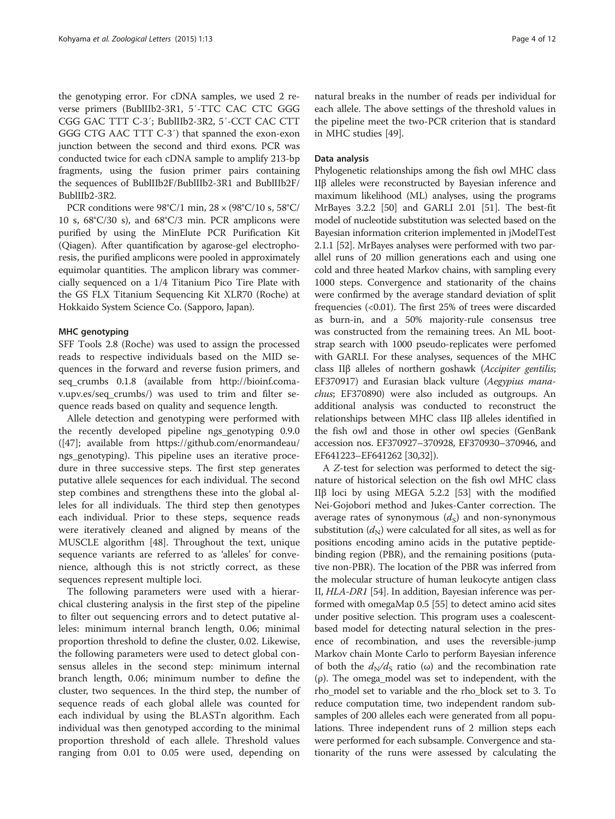the genotyping error. For cDNA samples, we used 2 reverse primers (BublIIb2-3R1, 5′-TTC CAC CTC GGG CGG GAC TTT C-3′; BublIIb2-3R2, 5′-CCT CAC CTT GGG CTG AAC TTT C-3′) that spanned the exon-exon junction between the second and third exons. PCR was conducted twice for each cDNA sample to amplify 213-bp fragments, using the fusion primer pairs containing the sequences of BublIIb2F/BublIIb2-3R1 and BublIIb2F/ BublIIb2-3R2.

PCR conditions were 98°C/1 min, 28 × (98°C/10 s, 58°C/ 10 s, 68°C/30 s), and 68°C/3 min. PCR amplicons were purified by using the MinElute PCR Purification Kit (Qiagen). After quantification by agarose-gel electrophoresis, the purified amplicons were pooled in approximately equimolar quantities. The amplicon library was commercially sequenced on a 1/4 Titanium Pico Tire Plate with the GS FLX Titanium Sequencing Kit XLR70 (Roche) at Hokkaido System Science Co. (Sapporo, Japan).

#### MHC genotyping

SFF Tools 2.8 (Roche) was used to assign the processed reads to respective individuals based on the MID sequences in the forward and reverse fusion primers, and seq\_crumbs 0.1.8 (available from [http://bioinf.coma](http://bioinf.comav.upv.es/seq_crumbs/)[v.upv.es/seq\\_crumbs/](http://bioinf.comav.upv.es/seq_crumbs/)) was used to trim and filter sequence reads based on quality and sequence length.

Allele detection and genotyping were performed with the recently developed pipeline ngs\_genotyping 0.9.0 ([\[47\]](#page-10-0); available from [https://github.com/enormandeau/](https://github.com/enormandeau/ngs_genotyping) [ngs\\_genotyping](https://github.com/enormandeau/ngs_genotyping)). This pipeline uses an iterative procedure in three successive steps. The first step generates putative allele sequences for each individual. The second step combines and strengthens these into the global alleles for all individuals. The third step then genotypes each individual. Prior to these steps, sequence reads were iteratively cleaned and aligned by means of the MUSCLE algorithm [\[48\]](#page-10-0). Throughout the text, unique sequence variants are referred to as 'alleles' for convenience, although this is not strictly correct, as these sequences represent multiple loci.

The following parameters were used with a hierarchical clustering analysis in the first step of the pipeline to filter out sequencing errors and to detect putative alleles: minimum internal branch length, 0.06; minimal proportion threshold to define the cluster, 0.02. Likewise, the following parameters were used to detect global consensus alleles in the second step: minimum internal branch length, 0.06; minimum number to define the cluster, two sequences. In the third step, the number of sequence reads of each global allele was counted for each individual by using the BLASTn algorithm. Each individual was then genotyped according to the minimal proportion threshold of each allele. Threshold values ranging from 0.01 to 0.05 were used, depending on natural breaks in the number of reads per individual for each allele. The above settings of the threshold values in the pipeline meet the two-PCR criterion that is standard in MHC studies [\[49](#page-10-0)].

#### Data analysis

Phylogenetic relationships among the fish owl MHC class IIβ alleles were reconstructed by Bayesian inference and maximum likelihood (ML) analyses, using the programs MrBayes 3.2.2 [\[50\]](#page-10-0) and GARLI 2.01 [\[51](#page-10-0)]. The best-fit model of nucleotide substitution was selected based on the Bayesian information criterion implemented in jModelTest 2.1.1 [\[52](#page-10-0)]. MrBayes analyses were performed with two parallel runs of 20 million generations each and using one cold and three heated Markov chains, with sampling every 1000 steps. Convergence and stationarity of the chains were confirmed by the average standard deviation of split frequencies (<0.01). The first 25% of trees were discarded as burn-in, and a 50% majority-rule consensus tree was constructed from the remaining trees. An ML bootstrap search with 1000 pseudo-replicates were perfomed with GARLI. For these analyses, sequences of the MHC class IIβ alleles of northern goshawk (Accipiter gentilis; EF370917) and Eurasian black vulture (Aegypius manachus; EF370890) were also included as outgroups. An additional analysis was conducted to reconstruct the relationships between MHC class IIβ alleles identified in the fish owl and those in other owl species (GenBank accession nos. EF370927–370928, EF370930–370946, and EF641223–EF641262 [\[30,32](#page-10-0)]).

A Z-test for selection was performed to detect the signature of historical selection on the fish owl MHC class IIβ loci by using MEGA 5.2.2 [[53](#page-10-0)] with the modified Nei-Gojobori method and Jukes-Canter correction. The average rates of synonymous  $(d<sub>S</sub>)$  and non-synonymous substitution  $(d_N)$  were calculated for all sites, as well as for positions encoding amino acids in the putative peptidebinding region (PBR), and the remaining positions (putative non-PBR). The location of the PBR was inferred from the molecular structure of human leukocyte antigen class II, HLA-DR1 [[54](#page-10-0)]. In addition, Bayesian inference was performed with omegaMap 0.5 [\[55](#page-10-0)] to detect amino acid sites under positive selection. This program uses a coalescentbased model for detecting natural selection in the presence of recombination, and uses the reversible-jump Markov chain Monte Carlo to perform Bayesian inference of both the  $d_N/d_S$  ratio (ω) and the recombination rate (ρ). The omega\_model was set to independent, with the rho\_model set to variable and the rho\_block set to 3. To reduce computation time, two independent random subsamples of 200 alleles each were generated from all populations. Three independent runs of 2 million steps each were performed for each subsample. Convergence and stationarity of the runs were assessed by calculating the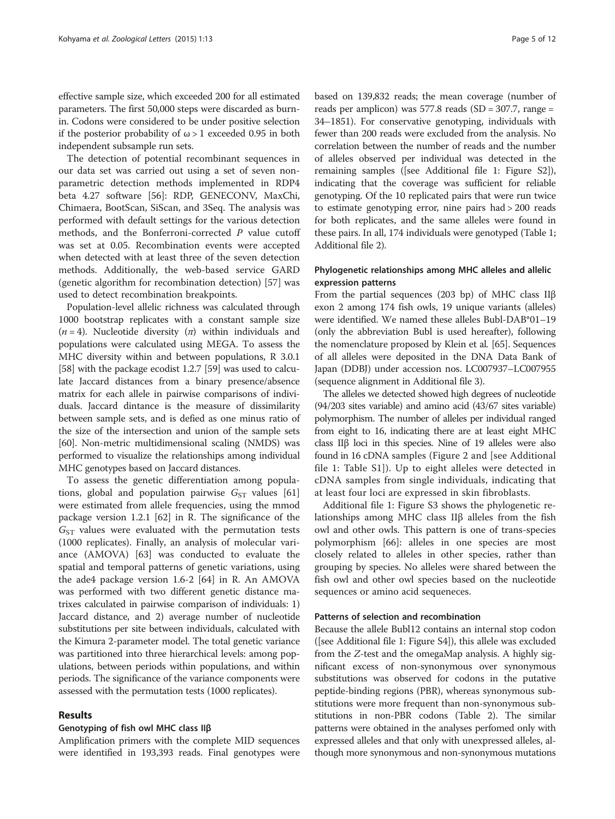effective sample size, which exceeded 200 for all estimated parameters. The first 50,000 steps were discarded as burnin. Codons were considered to be under positive selection if the posterior probability of  $\omega > 1$  exceeded 0.95 in both independent subsample run sets.

The detection of potential recombinant sequences in our data set was carried out using a set of seven nonparametric detection methods implemented in RDP4 beta 4.27 software [\[56](#page-10-0)]: RDP, GENECONV, MaxChi, Chimaera, BootScan, SiScan, and 3Seq. The analysis was performed with default settings for the various detection methods, and the Bonferroni-corrected P value cutoff was set at 0.05. Recombination events were accepted when detected with at least three of the seven detection methods. Additionally, the web-based service GARD (genetic algorithm for recombination detection) [\[57](#page-10-0)] was used to detect recombination breakpoints.

Population-level allelic richness was calculated through 1000 bootstrap replicates with a constant sample size ( $n = 4$ ). Nucleotide diversity ( $\pi$ ) within individuals and populations were calculated using MEGA. To assess the MHC diversity within and between populations, R 3.0.1 [[58](#page-10-0)] with the package ecodist 1.2.7 [\[59\]](#page-10-0) was used to calculate Jaccard distances from a binary presence/absence matrix for each allele in pairwise comparisons of individuals. Jaccard dintance is the measure of dissimilarity between sample sets, and is defied as one minus ratio of the size of the intersection and union of the sample sets [[60](#page-10-0)]. Non-metric multidimensional scaling (NMDS) was performed to visualize the relationships among individual MHC genotypes based on Jaccard distances.

To assess the genetic differentiation among populations, global and population pairwise  $G_{ST}$  values [[61](#page-10-0)] were estimated from allele frequencies, using the mmod package version 1.2.1 [[62\]](#page-10-0) in R. The significance of the  $G<sub>ST</sub>$  values were evaluated with the permutation tests (1000 replicates). Finally, an analysis of molecular variance (AMOVA) [\[63\]](#page-10-0) was conducted to evaluate the spatial and temporal patterns of genetic variations, using the ade4 package version 1.6-2 [\[64](#page-10-0)] in R. An AMOVA was performed with two different genetic distance matrixes calculated in pairwise comparison of individuals: 1) Jaccard distance, and 2) average number of nucleotide substitutions per site between individuals, calculated with the Kimura 2-parameter model. The total genetic variance was partitioned into three hierarchical levels: among populations, between periods within populations, and within periods. The significance of the variance components were assessed with the permutation tests (1000 replicates).

#### Results

#### Genotyping of fish owl MHC class IΙβ

Amplification primers with the complete MID sequences were identified in 193,393 reads. Final genotypes were

based on 139,832 reads; the mean coverage (number of reads per amplicon) was  $577.8$  reads (SD = 307.7, range = 34–1851). For conservative genotyping, individuals with fewer than 200 reads were excluded from the analysis. No correlation between the number of reads and the number of alleles observed per individual was detected in the remaining samples ([see Additional file [1](#page-9-0): Figure S2]), indicating that the coverage was sufficient for reliable genotyping. Of the 10 replicated pairs that were run twice to estimate genotyping error, nine pairs had > 200 reads for both replicates, and the same alleles were found in these pairs. In all, 174 individuals were genotyped (Table [1](#page-5-0);

#### Phylogenetic relationships among MHC alleles and allelic expression patterns

Additional file [2](#page-9-0)).

From the partial sequences (203 bp) of MHC class IIβ exon 2 among 174 fish owls, 19 unique variants (alleles) were identified. We named these alleles Bubl-DAB\*01–19 (only the abbreviation Bubl is used hereafter), following the nomenclature proposed by Klein et al. [\[65\]](#page-10-0). Sequences of all alleles were deposited in the DNA Data Bank of Japan (DDBJ) under accession nos. LC007937–LC007955 (sequence alignment in Additional file [3](#page-9-0)).

The alleles we detected showed high degrees of nucleotide (94/203 sites variable) and amino acid (43/67 sites variable) polymorphism. The number of alleles per individual ranged from eight to 16, indicating there are at least eight MHC class IIβ loci in this species. Nine of 19 alleles were also found in 16 cDNA samples (Figure [2](#page-5-0) and [see Additional file [1:](#page-9-0) Table S1]). Up to eight alleles were detected in cDNA samples from single individuals, indicating that at least four loci are expressed in skin fibroblasts.

Additional file [1:](#page-9-0) Figure S3 shows the phylogenetic relationships among MHC class IIβ alleles from the fish owl and other owls. This pattern is one of trans-species polymorphism [[66\]](#page-10-0): alleles in one species are most closely related to alleles in other species, rather than grouping by species. No alleles were shared between the fish owl and other owl species based on the nucleotide sequences or amino acid sequeneces.

#### Patterns of selection and recombination

Because the allele Bubl12 contains an internal stop codon ([see Additional file [1:](#page-9-0) Figure S4]), this allele was excluded from the Z-test and the omegaMap analysis. A highly significant excess of non-synonymous over synonymous substitutions was observed for codons in the putative peptide-binding regions (PBR), whereas synonymous substitutions were more frequent than non-synonymous substitutions in non-PBR codons (Table [2](#page-6-0)). The similar patterns were obtained in the analyses perfomed only with expressed alleles and that only with unexpressed alleles, although more synonymous and non-synonymous mutations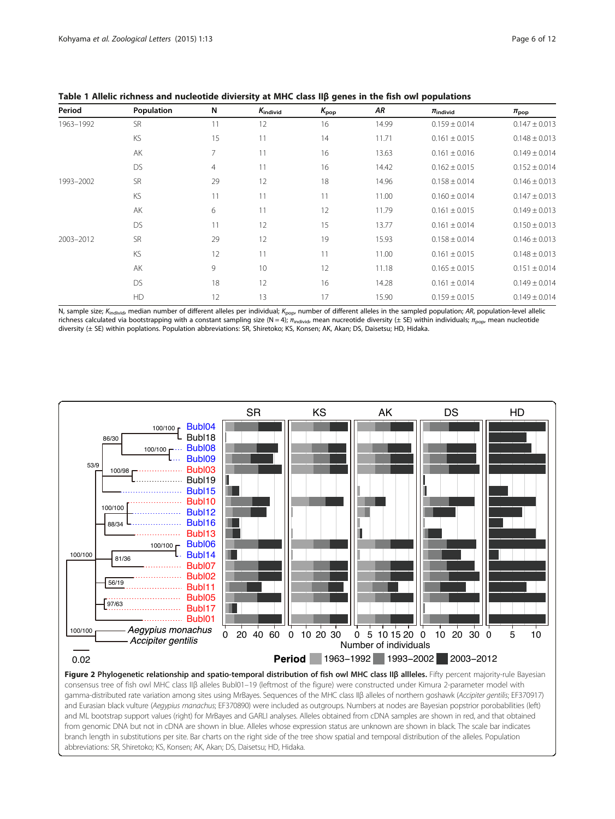| Period    | Population | N              | $K_{individ}$ | $K_{\text{pop}}$ | AR    | $\pi$ individ     | $\pi_{\text{pop}}$ |
|-----------|------------|----------------|---------------|------------------|-------|-------------------|--------------------|
| 1963-1992 | <b>SR</b>  | 11             | 12            | 16               | 14.99 | $0.159 \pm 0.014$ | $0.147 \pm 0.013$  |
|           | KS         | 15             | 11            | 14               | 11.71 | $0.161 \pm 0.015$ | $0.148 \pm 0.013$  |
|           | AK         | 7              | 11            | 16               | 13.63 | $0.161 \pm 0.016$ | $0.149 \pm 0.014$  |
|           | <b>DS</b>  | $\overline{4}$ | 11            | 16               | 14.42 | $0.162 \pm 0.015$ | $0.152 \pm 0.014$  |
| 1993-2002 | <b>SR</b>  | 29             | 12            | 18               | 14.96 | $0.158 \pm 0.014$ | $0.146 \pm 0.013$  |
|           | KS         | 11             | 11            | 11               | 11.00 | $0.160 \pm 0.014$ | $0.147 \pm 0.013$  |
|           | AK         | 6              | 11            | 12               | 11.79 | $0.161 \pm 0.015$ | $0.149 \pm 0.013$  |
|           | <b>DS</b>  | 11             | 12            | 15               | 13.77 | $0.161 \pm 0.014$ | $0.150 \pm 0.013$  |
| 2003-2012 | <b>SR</b>  | 29             | 12            | 19               | 15.93 | $0.158 \pm 0.014$ | $0.146 \pm 0.013$  |
|           | KS         | 12             | 11            | 11               | 11.00 | $0.161 \pm 0.015$ | $0.148 \pm 0.013$  |
|           | AK         | 9              | 10            | 12               | 11.18 | $0.165 \pm 0.015$ | $0.151 \pm 0.014$  |
|           | <b>DS</b>  | 18             | 12            | 16               | 14.28 | $0.161 \pm 0.014$ | $0.149 \pm 0.014$  |
|           | HD         | 12             | 13            | 17               | 15.90 | $0.159 \pm 0.015$ | $0.149 \pm 0.014$  |

<span id="page-5-0"></span>Table 1 Allelic richness and nucleotide diviersity at MHC class IIβ genes in the fish owl populations

N, sample size; K<sub>individ</sub>, median number of different alleles per individual; K<sub>pop</sub>, number of different alleles in the sampled population; AR, population-level allelic richness calculated via bootstrapping with a constant sampling size (N = 4);  $\pi_{individ}$ , mean nucreotide diversity (± SE) within individuals;  $\pi_{pop}$ , mean nucleotide diversity (± SE) within poplations. Population abbreviations: SR, Shiretoko; KS, Konsen; AK, Akan; DS, Daisetsu; HD, Hidaka.

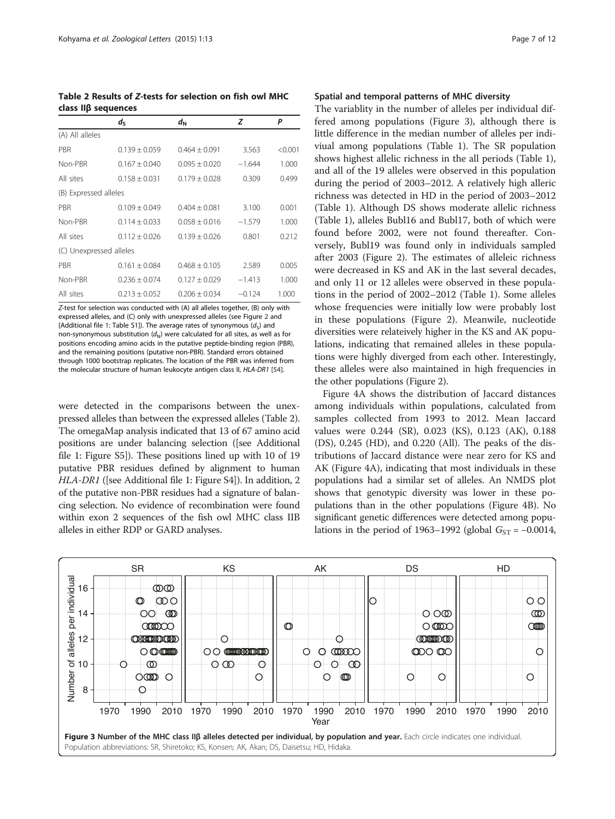<span id="page-6-0"></span>Table 2 Results of Z-tests for selection on fish owl MHC class IIβ sequences

|                         | d                 | d <sub>Ν</sub>    | z        | P       |
|-------------------------|-------------------|-------------------|----------|---------|
| (A) All alleles         |                   |                   |          |         |
| <b>PBR</b>              | $0.139 + 0.059$   | $0.464 + 0.091$   | 3.563    | < 0.001 |
| Non-PBR                 | $0.167 + 0.040$   | $0.095 + 0.020$   | $-1.644$ | 1.000   |
| All sites               | $0.158 + 0.031$   | $0.179 + 0.028$   | 0.309    | 0.499   |
| (B) Expressed alleles   |                   |                   |          |         |
| <b>PBR</b>              | $0.109 + 0.049$   | $0.404 + 0.081$   | 3.100    | 0.001   |
| Non-PBR                 | $0.114 + 0.033$   | $0.058 + 0.016$   | $-1.579$ | 1.000   |
| All sites               | $0.112 + 0.026$   | $0.139 + 0.026$   | 0.801    | 0.212   |
| (C) Unexpressed alleles |                   |                   |          |         |
| <b>PBR</b>              | $0.161 + 0.084$   | $0.468 + 0.105$   | 2.589    | 0.005   |
| Non-PBR                 | $0.236 + 0.074$   | $0.127 + 0.029$   | $-1.413$ | 1.000   |
| All sites               | $0.213 \pm 0.052$ | $0.206 \pm 0.034$ | $-0.124$ | 1.000   |

Z-test for selection was conducted with (A) all alleles together, (B) only with expressed alleles, and (C) only with unexpressed alleles (see Figure [2](#page-5-0) and [Additional file [1](#page-9-0): Table S1]). The average rates of synonymous  $(d<sub>S</sub>)$  and non-synonymous substitution  $(d_N)$  were calculated for all sites, as well as for positions encoding amino acids in the putative peptide-binding region (PBR), and the remaining positions (putative non-PBR). Standard errors obtained through 1000 bootstrap replicates. The location of the PBR was inferred from the molecular structure of human leukocyte antigen class II, HLA-DR1 [[54](#page-10-0)].

were detected in the comparisons between the unexpressed alleles than between the expressed alleles (Table 2). The omegaMap analysis indicated that 13 of 67 amino acid positions are under balancing selection ([see Additional file [1:](#page-9-0) Figure S5]). These positions lined up with 10 of 19 putative PBR residues defined by alignment to human HLA-DR1 ([see Additional file [1](#page-9-0): Figure S4]). In addition, 2 of the putative non-PBR residues had a signature of balancing selection. No evidence of recombination were found within exon 2 sequences of the fish owl MHC class IIB alleles in either RDP or GARD analyses.

#### Spatial and temporal patterns of MHC diversity

The variablity in the number of alleles per individual differed among populations (Figure 3), although there is little difference in the median number of alleles per indiviual among populations (Table [1](#page-5-0)). The SR population shows highest allelic richness in the all periods (Table [1](#page-5-0)), and all of the 19 alleles were observed in this population during the period of 2003–2012. A relatively high alleric richness was detected in HD in the period of 2003–2012 (Table [1\)](#page-5-0). Although DS shows moderate allelic richness (Table [1](#page-5-0)), alleles Bubl16 and Bubl17, both of which were found before 2002, were not found thereafter. Conversely, Bubl19 was found only in individuals sampled after 2003 (Figure [2](#page-5-0)). The estimates of alleleic richness were decreased in KS and AK in the last several decades, and only 11 or 12 alleles were observed in these populations in the period of 2002–2012 (Table [1](#page-5-0)). Some alleles whose frequencies were initially low were probably lost in these populations (Figure [2\)](#page-5-0). Meanwile, nucleotide diversities were relateively higher in the KS and AK populations, indicating that remained alleles in these populations were highly diverged from each other. Interestingly, these alleles were also maintained in high frequencies in the other populations (Figure [2](#page-5-0)).

Figure [4](#page-7-0)A shows the distribution of Jaccard distances among individuals within populations, calculated from samples collected from 1993 to 2012. Mean Jaccard values were 0.244 (SR), 0.023 (KS), 0.123 (AK), 0.188 (DS), 0.245 (HD), and 0.220 (All). The peaks of the distributions of Jaccard distance were near zero for KS and AK (Figure [4](#page-7-0)A), indicating that most individuals in these populations had a similar set of alleles. An NMDS plot shows that genotypic diversity was lower in these populations than in the other populations (Figure [4B](#page-7-0)). No significant genetic differences were detected among populations in the period of 1963–1992 (global  $G_{ST} = -0.0014$ ,

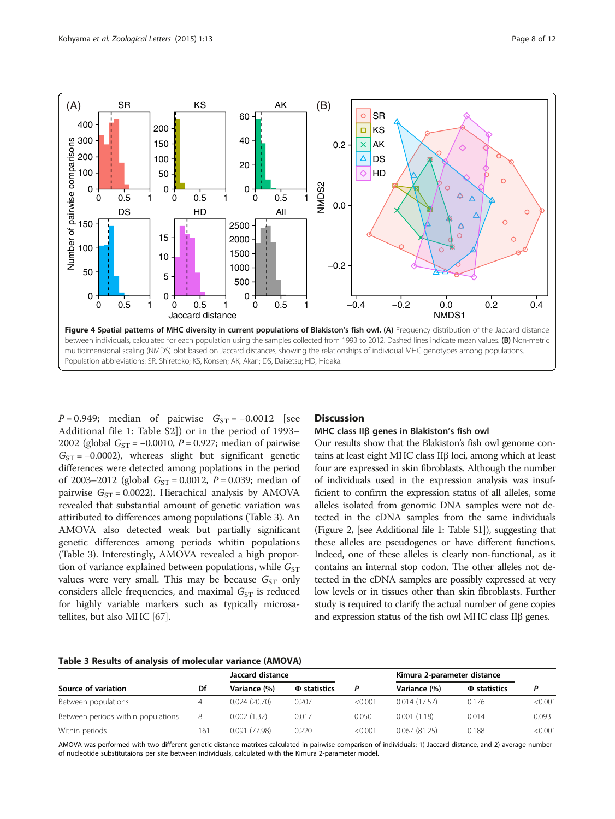<span id="page-7-0"></span>

**Discussion** 

MHC class IIβ genes in Blakiston's fish owl

Our results show that the Blakiston's fish owl genome contains at least eight MHC class IIβ loci, among which at least four are expressed in skin fibroblasts. Although the number of individuals used in the expression analysis was insufficient to confirm the expression status of all alleles, some alleles isolated from genomic DNA samples were not detected in the cDNA samples from the same individuals (Figure [2](#page-5-0), [see Additional file [1](#page-9-0): Table S1]), suggesting that these alleles are pseudogenes or have different functions. Indeed, one of these alleles is clearly non-functional, as it contains an internal stop codon. The other alleles not detected in the cDNA samples are possibly expressed at very low levels or in tissues other than skin fibroblasts. Further study is required to clarify the actual number of gene copies and expression status of the fish owl MHC class IIβ genes.

 $P = 0.949$ ; median of pairwise  $G_{ST} = -0.0012$  [see Additional file [1](#page-9-0): Table S2]) or in the period of 1993– 2002 (global  $G_{ST} = -0.0010$ ,  $P = 0.927$ ; median of pairwise  $G<sub>ST</sub> = -0.0002$ , whereas slight but significant genetic differences were detected among poplations in the period of 2003–2012 (global  $G_{ST} = 0.0012$ ,  $P = 0.039$ ; median of pairwise  $G_{ST} = 0.0022$ ). Hierachical analysis by AMOVA revealed that substantial amount of genetic variation was attiributed to differences among populations (Table 3). An AMOVA also detected weak but partially significant genetic differences among periods whitin populations (Table 3). Interestingly, AMOVA revealed a high proportion of variance explained between populations, while  $G_{ST}$ values were very small. This may be because  $G_{ST}$  only considers allele frequencies, and maximal  $G_{ST}$  is reduced for highly variable markers such as typically microsatellites, but also MHC [\[67\]](#page-10-0).

#### Table 3 Results of analysis of molecular variance (AMOVA)

|                                    | Df  | Jaccard distance |                   |         | Kimura 2-parameter distance |                   |         |
|------------------------------------|-----|------------------|-------------------|---------|-----------------------------|-------------------|---------|
| Source of variation                |     | Variance (%)     | $\Phi$ statistics |         | Variance (%)                | $\Phi$ statistics | D       |
| Between populations                |     | 0.024(20.70)     | 0.207             | < 0.001 | 0.014(17.57)                | 0.176             | < 0.001 |
| Between periods within populations |     | 0.002(1.32)      | 0.017             | 0.050   | 0.001(1.18)                 | 0.014             | 0.093   |
| Within periods                     | 161 | 0.091(77.98)     | 0.220             | < 0.001 | 0.067(81.25)                | 0.188             | < 0.001 |

AMOVA was performed with two different genetic distance matrixes calculated in pairwise comparison of individuals: 1) Jaccard distance, and 2) average number of nucleotide substitutaions per site between individuals, calculated with the Kimura 2-parameter model.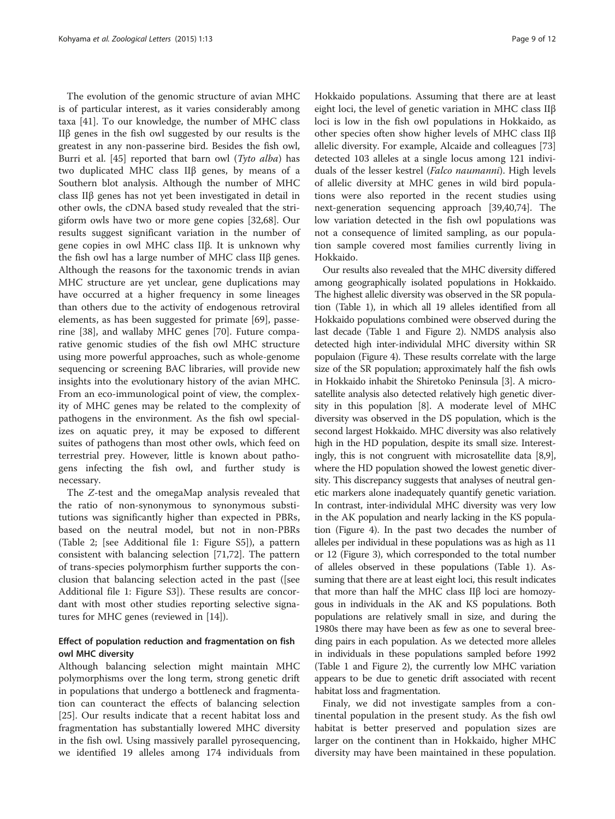The evolution of the genomic structure of avian MHC is of particular interest, as it varies considerably among taxa [\[41](#page-10-0)]. To our knowledge, the number of MHC class IIβ genes in the fish owl suggested by our results is the greatest in any non-passerine bird. Besides the fish owl, Burri et al. [[45](#page-10-0)] reported that barn owl (*Tyto alba*) has two duplicated MHC class IIβ genes, by means of a Southern blot analysis. Although the number of MHC class IIβ genes has not yet been investigated in detail in other owls, the cDNA based study revealed that the strigiform owls have two or more gene copies [\[32,68\]](#page-10-0). Our results suggest significant variation in the number of gene copies in owl MHC class IIβ. It is unknown why the fish owl has a large number of MHC class IIβ genes. Although the reasons for the taxonomic trends in avian MHC structure are yet unclear, gene duplications may have occurred at a higher frequency in some lineages than others due to the activity of endogenous retroviral elements, as has been suggested for primate [[69\]](#page-10-0), passerine [[38\]](#page-10-0), and wallaby MHC genes [\[70](#page-10-0)]. Future comparative genomic studies of the fish owl MHC structure using more powerful approaches, such as whole-genome sequencing or screening BAC libraries, will provide new insights into the evolutionary history of the avian MHC. From an eco-immunological point of view, the complexity of MHC genes may be related to the complexity of pathogens in the environment. As the fish owl specializes on aquatic prey, it may be exposed to different suites of pathogens than most other owls, which feed on terrestrial prey. However, little is known about pathogens infecting the fish owl, and further study is necessary.

The Z-test and the omegaMap analysis revealed that the ratio of non-synonymous to synonymous substitutions was significantly higher than expected in PBRs, based on the neutral model, but not in non-PBRs (Table [2;](#page-6-0) [see Additional file [1](#page-9-0): Figure S5]), a pattern consistent with balancing selection [[71,](#page-10-0)[72\]](#page-11-0). The pattern of trans-species polymorphism further supports the conclusion that balancing selection acted in the past ([see Additional file [1](#page-9-0): Figure S3]). These results are concordant with most other studies reporting selective signatures for MHC genes (reviewed in [[14\]](#page-9-0)).

#### Effect of population reduction and fragmentation on fish owl MHC diversity

Although balancing selection might maintain MHC polymorphisms over the long term, strong genetic drift in populations that undergo a bottleneck and fragmentation can counteract the effects of balancing selection [[25\]](#page-10-0). Our results indicate that a recent habitat loss and fragmentation has substantially lowered MHC diversity in the fish owl. Using massively parallel pyrosequencing, we identified 19 alleles among 174 individuals from Hokkaido populations. Assuming that there are at least eight loci, the level of genetic variation in MHC class IIβ loci is low in the fish owl populations in Hokkaido, as other species often show higher levels of MHC class IIβ allelic diversity. For example, Alcaide and colleagues [[73](#page-11-0)] detected 103 alleles at a single locus among 121 individuals of the lesser kestrel (*Falco naumanni*). High levels of allelic diversity at MHC genes in wild bird populations were also reported in the recent studies using next-generation sequencing approach [\[39,40](#page-10-0)[,74](#page-11-0)]. The low variation detected in the fish owl populations was not a consequence of limited sampling, as our population sample covered most families currently living in Hokkaido.

Our results also revealed that the MHC diversity differed among geographically isolated populations in Hokkaido. The highest allelic diversity was observed in the SR population (Table [1\)](#page-5-0), in which all 19 alleles identified from all Hokkaido populations combined were observed during the last decade (Table [1](#page-5-0) and Figure [2](#page-5-0)). NMDS analysis also detected high inter-individulal MHC diversity within SR populaion (Figure [4\)](#page-7-0). These results correlate with the large size of the SR population; approximately half the fish owls in Hokkaido inhabit the Shiretoko Peninsula [\[3\]](#page-9-0). A microsatellite analysis also detected relatively high genetic diversity in this population [\[8\]](#page-9-0). A moderate level of MHC diversity was observed in the DS population, which is the second largest Hokkaido. MHC diversity was also relatively high in the HD population, despite its small size. Interestingly, this is not congruent with microsatellite data [[8,9](#page-9-0)], where the HD population showed the lowest genetic diversity. This discrepancy suggests that analyses of neutral genetic markers alone inadequately quantify genetic variation. In contrast, inter-individulal MHC diversity was very low in the AK population and nearly lacking in the KS population (Figure [4](#page-7-0)). In the past two decades the number of alleles per individual in these populations was as high as 11 or 12 (Figure [3\)](#page-6-0), which corresponded to the total number of alleles observed in these populations (Table [1\)](#page-5-0). Assuming that there are at least eight loci, this result indicates that more than half the MHC class IIβ loci are homozygous in individuals in the AK and KS populations. Both populations are relatively small in size, and during the 1980s there may have been as few as one to several breeding pairs in each population. As we detected more alleles in individuals in these populations sampled before 1992 (Table [1](#page-5-0) and Figure [2](#page-5-0)), the currently low MHC variation appears to be due to genetic drift associated with recent habitat loss and fragmentation.

Finaly, we did not investigate samples from a continental population in the present study. As the fish owl habitat is better preserved and population sizes are larger on the continent than in Hokkaido, higher MHC diversity may have been maintained in these population.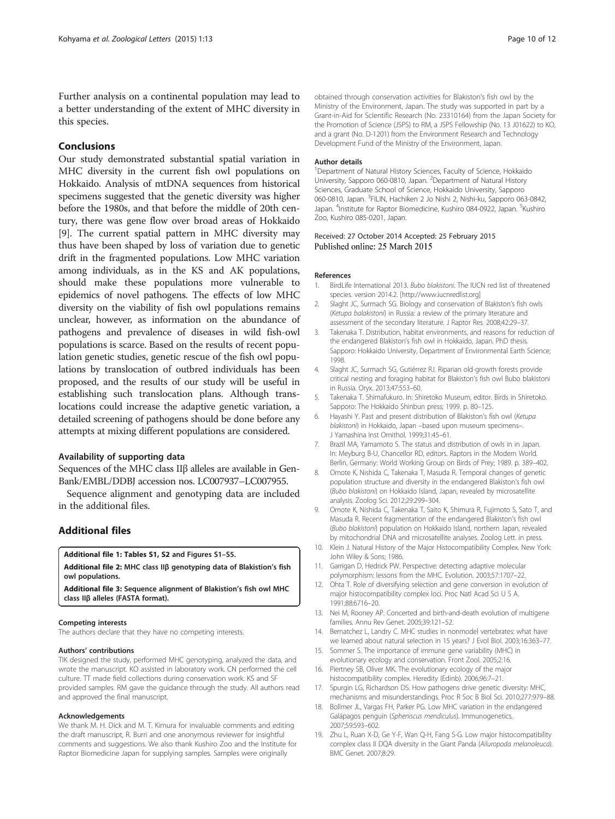<span id="page-9-0"></span>Further analysis on a continental population may lead to a better understanding of the extent of MHC diversity in this species.

#### Conclusions

Our study demonstrated substantial spatial variation in MHC diversity in the current fish owl populations on Hokkaido. Analysis of mtDNA sequences from historical specimens suggested that the genetic diversity was higher before the 1980s, and that before the middle of 20th century, there was gene flow over broad areas of Hokkaido [9]. The current spatial pattern in MHC diversity may thus have been shaped by loss of variation due to genetic drift in the fragmented populations. Low MHC variation among individuals, as in the KS and AK populations, should make these populations more vulnerable to epidemics of novel pathogens. The effects of low MHC diversity on the viability of fish owl populations remains unclear, however, as information on the abundance of pathogens and prevalence of diseases in wild fish-owl populations is scarce. Based on the results of recent population genetic studies, genetic rescue of the fish owl populations by translocation of outbred individuals has been proposed, and the results of our study will be useful in establishing such translocation plans. Although translocations could increase the adaptive genetic variation, a detailed screening of pathogens should be done before any attempts at mixing different populations are considered.

#### Availability of supporting data

Sequences of the MHC class IIβ alleles are available in Gen-Bank/EMBL/DDBJ accession nos. LC007937–LC007955.

Sequence alignment and genotyping data are included in the additional files.

#### Additional files

[Additional file 1: Tables S1, S2](http://www.zoologicalletters.com/content/supplementary/s40851-015-0013-4-s1.pdf) and Figures S1–S5.

[Additional file 2:](http://www.zoologicalletters.com/content/supplementary/s40851-015-0013-4-s2.csv) MHC class IΙβ genotyping data of Blakistion's fish owl populations.

[Additional file 3:](http://www.zoologicalletters.com/content/supplementary/s40851-015-0013-4-s3.zip) Sequence alignment of Blakistion's fish owl MHC class IIβ alleles (FASTA format).

#### Competing interests

The authors declare that they have no competing interests.

#### Authors' contributions

TIK designed the study, performed MHC genotyping, analyzed the data, and wrote the manuscript. KO assisted in laboratory work. CN performed the cell culture. TT made field collections during conservation work. KS and SF provided samples. RM gave the guidance through the study. All authors read and approved the final manuscript.

#### Acknowledgements

We thank M. H. Dick and M. T. Kimura for invaluable comments and editing the draft manuscript, R. Burri and one anonymous reviewer for insightful comments and suggestions. We also thank Kushiro Zoo and the Institute for Raptor Biomedicine Japan for supplying samples. Samples were originally

obtained through conservation activities for Blakiston's fish owl by the Ministry of the Environment, Japan. The study was supported in part by a Grant-in-Aid for Scientific Research (No. 23310164) from the Japan Society for the Promotion of Science (JSPS) to RM, a JSPS Fellowship (No. 13 J01622) to KO, and a grant (No. D-1201) from the Environment Research and Technology Development Fund of the Ministry of the Environment, Japan.

#### Author details

<sup>1</sup>Department of Natural History Sciences, Faculty of Science, Hokkaido University, Sapporo 060-0810, Japan. <sup>2</sup> Department of Natural History Sciences, Graduate School of Science, Hokkaido University, Sapporo 060-0810, Japan. <sup>3</sup>FILIN, Hachiken 2 Jo Nishi 2, Nishi-ku, Sapporo 063-0842 Japan. <sup>4</sup>Institute for Raptor Biomedicine, Kushiro 084-0922, Japan. <sup>5</sup>Kushiro Zoo, Kushiro 085-0201, Japan.

#### Received: 27 October 2014 Accepted: 25 February 2015 Published online: 25 March 2015

#### References

- 1. BirdLife International 2013. Bubo blakistoni. The IUCN red list of threatened species. version 2014.2. [\[http://www.iucnredlist.org](http://www.iucnredlist.org)]
- 2. Slaght JC, Surmach SG. Biology and conservation of Blakiston's fish owls (Ketupa balakistoni) in Russia: a review of the primary literature and assessment of the secondary literature. J Raptor Res. 2008;42:29–37.
- 3. Takenaka T. Distribution, habitat environments, and reasons for reduction of the endangered Blakiston's fish owl in Hokkaido, Japan. PhD thesis. Sapporo: Hokkaido University, Department of Environmental Earth Science; 1998.
- 4. Slaght JC, Surmach SG, Gutiérrez RJ. Riparian old-growth forests provide critical nesting and foraging habitat for Blakiston's fish owl Bubo blakistoni in Russia. Oryx. 2013;47:553–60.
- 5. Takenaka T. Shimafukuro. In: Shiretoko Museum, editor. Birds in Shiretoko. Sapporo: The Hokkaido Shinbun press; 1999. p. 80–125.
- 6. Hayashi Y. Past and present distribution of Blakiston's fish owl (Ketupa blakistoni) in Hokkaido, Japan –based upon museum specimens–. J Yamashina Inst Ornithol. 1999;31:45–61.
- 7. Brazil MA, Yamamoto S. The status and distribution of owls in in Japan. In: Meyburg B-U, Chancellor RD, editors. Raptors in the Modern World. Berlin, Germany: World Working Group on Birds of Prey; 1989. p. 389–402.
- 8. Omote K, Nishida C, Takenaka T, Masuda R. Temporal changes of genetic population structure and diversity in the endangered Blakiston's fish owl (Bubo blakistoni) on Hokkaido Island, Japan, revealed by microsatellite analysis. Zoolog Sci. 2012;29:299–304.
- 9. Omote K, Nishida C, Takenaka T, Saito K, Shimura R, Fujimoto S, Sato T, and Masuda R. Recent fragmentation of the endangered Blakiston's fish owl (Bubo blakistoni) population on Hokkaido Island, northern Japan, revealed by mitochondrial DNA and microsatellite analyses. Zoolog Lett. in press.
- 10. Klein J. Natural History of the Major Histocompatibility Complex. New York: John Wiley & Sons; 1986.
- 11. Garrigan D, Hedrick PW. Perspective: detecting adaptive molecular polymorphism: lessons from the MHC. Evolution. 2003;57:1707–22.
- 12. Ohta T. Role of diversifying selection and gene conversion in evolution of major histocompatibility complex loci. Proc Natl Acad Sci U S A. 1991;88:6716–20.
- 13. Nei M, Rooney AP. Concerted and birth-and-death evolution of multigene families. Annu Rev Genet. 2005;39:121–52.
- 14. Bernatchez L, Landry C. MHC studies in nonmodel vertebrates: what have we learned about natural selection in 15 years? J Evol Biol. 2003;16:363–77.
- 15. Sommer S. The importance of immune gene variability (MHC) in evolutionary ecology and conservation. Front Zool. 2005;2:16.
- 16. Piertney SB, Oliver MK. The evolutionary ecology of the major histocompatibility complex. Heredity (Edinb). 2006;96:7–21.
- 17. Spurgin LG, Richardson DS. How pathogens drive genetic diversity: MHC, mechanisms and misunderstandings. Proc R Soc B Biol Sci. 2010;277:979–88.
- 18. Bollmer JL, Vargas FH, Parker PG. Low MHC variation in the endangered Galápagos penguin (Spheniscus mendiculus). Immunogenetics. 2007;59:593–602.
- 19. Zhu L, Ruan X-D, Ge Y-F, Wan Q-H, Fang S-G. Low major histocompatibility complex class II DQA diversity in the Giant Panda (Ailuropoda melanoleuca). BMC Genet. 2007;8:29.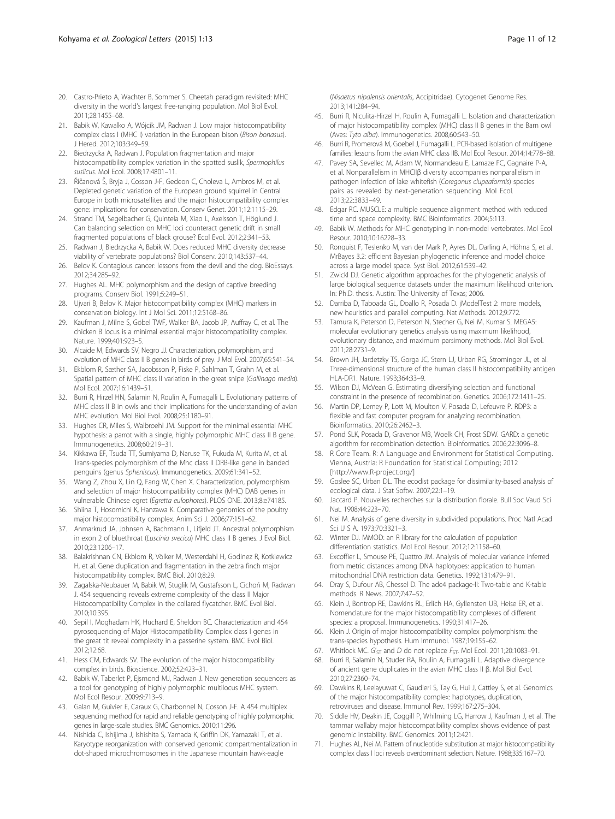- <span id="page-10-0"></span>20. Castro-Prieto A, Wachter B, Sommer S. Cheetah paradigm revisited: MHC diversity in the world's largest free-ranging population. Mol Biol Evol. 2011;28:1455–68.
- 21. Babik W, Kawalko A, Wójcik JM, Radwan J. Low major histocompatibility complex class I (MHC I) variation in the European bison (Bison bonasus). J Hered. 2012;103:349–59.
- 22. Biedrzycka A, Radwan J. Population fragmentation and major histocompatibility complex variation in the spotted suslik, Spermophilus suslicus. Mol Ecol. 2008;17:4801–11.
- 23. Říčanová Š, Bryja J, Cosson J-F, Gedeon C, Choleva L, Ambros M, et al. Depleted genetic variation of the European ground squirrel in Central Europe in both microsatellites and the major histocompatibility complex gene: implications for conservation. Conserv Genet. 2011;12:1115–29.
- 24. Strand TM, Segelbacher G, Quintela M, Xiao L, Axelsson T, Höglund J. Can balancing selection on MHC loci counteract genetic drift in small fragmented populations of black grouse? Ecol Evol. 2012;2:341–53.
- 25. Radwan J, Biedrzycka A, Babik W. Does reduced MHC diversity decrease viability of vertebrate populations? Biol Conserv. 2010;143:537–44.
- 26. Belov K. Contagious cancer: lessons from the devil and the dog. BioEssays. 2012;34:285–92.
- 27. Hughes AL. MHC polymorphism and the design of captive breeding programs. Conserv Biol. 1991;5:249–51.
- 28. Ujvari B, Belov K. Major histocompatibility complex (MHC) markers in conservation biology. Int J Mol Sci. 2011;12:5168–86.
- 29. Kaufman J, Milne S, Göbel TWF, Walker BA, Jacob JP, Auffray C, et al. The chicken B locus is a minimal essential major histocompatibility complex. Nature. 1999;401:923–5.
- 30. Alcaide M, Edwards SV, Negro JJ. Characterization, polymorphism, and evolution of MHC class II B genes in birds of prey. J Mol Evol. 2007;65:541–54.
- 31. Ekblom R, Sæther SA, Jacobsson P, Fiske P, Sahlman T, Grahn M, et al. Spatial pattern of MHC class II variation in the great snipe (Gallinago media). Mol Ecol. 2007;16:1439–51.
- 32. Burri R, Hirzel HN, Salamin N, Roulin A, Fumagalli L. Evolutionary patterns of MHC class II B in owls and their implications for the understanding of avian MHC evolution. Mol Biol Evol. 2008;25:1180–91.
- 33. Hughes CR, Miles S, Walbroehl JM. Support for the minimal essential MHC hypothesis: a parrot with a single, highly polymorphic MHC class II B gene. Immunogenetics. 2008;60:219–31.
- 34. Kikkawa EF, Tsuda TT, Sumiyama D, Naruse TK, Fukuda M, Kurita M, et al. Trans-species polymorphism of the Mhc class II DRB-like gene in banded penguins (genus Spheniscus). Immunogenetics. 2009;61:341–52.
- 35. Wang Z, Zhou X, Lin Q, Fang W, Chen X. Characterization, polymorphism and selection of major histocompatibility complex (MHC) DAB genes in vulnerable Chinese egret (Egretta eulophotes). PLOS ONE. 2013;8:e74185.
- 36. Shiina T, Hosomichi K, Hanzawa K. Comparative genomics of the poultry major histocompatibility complex. Anim Sci J. 2006;77:151–62.
- 37. Anmarkrud JA, Johnsen A, Bachmann L, Lifjeld JT. Ancestral polymorphism in exon 2 of bluethroat (Luscinia svecica) MHC class II B genes. J Evol Biol. 2010;23:1206–17.
- 38. Balakrishnan CN, Ekblom R, Völker M, Westerdahl H, Godinez R, Kotkiewicz H, et al. Gene duplication and fragmentation in the zebra finch major histocompatibility complex. BMC Biol. 2010;8:29.
- 39. Zagalska-Neubauer M, Babik W, Stuglik M, Gustafsson L, Cichoń M, Radwan J. 454 sequencing reveals extreme complexity of the class II Major Histocompatibility Complex in the collared flycatcher. BMC Evol Biol. 2010;10:395.
- 40. Sepil I, Moghadam HK, Huchard E, Sheldon BC. Characterization and 454 pyrosequencing of Major Histocompatibility Complex class I genes in the great tit reveal complexity in a passerine system. BMC Evol Biol. 2012;12:68.
- 41. Hess CM, Edwards SV. The evolution of the major histocompatibility complex in birds. Bioscience. 2002;52:423–31.
- 42. Babik W, Taberlet P, Ejsmond MJ, Radwan J. New generation sequencers as a tool for genotyping of highly polymorphic multilocus MHC system. Mol Ecol Resour. 2009;9:713–9.
- 43. Galan M, Guivier E, Caraux G, Charbonnel N, Cosson J-F. A 454 multiplex sequencing method for rapid and reliable genotyping of highly polymorphic genes in large-scale studies. BMC Genomics. 2010;11:296.
- 44. Nishida C, Ishijima J, Ishishita S, Yamada K, Griffin DK, Yamazaki T, et al. Karyotype reorganization with conserved genomic compartmentalization in dot-shaped microchromosomes in the Japanese mountain hawk-eagle

(Nisaetus nipalensis orientalis, Accipitridae). Cytogenet Genome Res. 2013;141:284–94.

- 45. Burri R, Niculita-Hirzel H, Roulin A, Fumagalli L. Isolation and characterization of major histocompatibility complex (MHC) class II B genes in the Barn owl (Aves: Tyto alba). Immunogenetics. 2008;60:543–50.
- 46. Burri R, Promerová M, Goebel J, Fumagalli L. PCR-based isolation of multigene families: lessons from the avian MHC class IIB. Mol Ecol Resour. 2014;14:778–88.
- 47. Pavey SA, Sevellec M, Adam W, Normandeau E, Lamaze FC, Gagnaire P-A, et al. Nonparallelism in MHCIIβ diversity accompanies nonparallelism in pathogen infection of lake whitefish (Coregonus clupeaformis) species pairs as revealed by next-generation sequencing. Mol Ecol. 2013;22:3833–49.
- 48. Edgar RC. MUSCLE: a multiple sequence alignment method with reduced time and space complexity. BMC Bioinformatics. 2004;5:113.
- 49. Babik W. Methods for MHC genotyping in non-model vertebrates. Mol Ecol Resour. 2010;10:16228–33.
- 50. Ronquist F, Teslenko M, van der Mark P, Ayres DL, Darling A, Höhna S, et al. MrBayes 3.2: efficient Bayesian phylogenetic inference and model choice across a large model space. Syst Biol. 2012;61:539–42.
- 51. Zwickl DJ. Genetic algorithm approaches for the phylogenetic analysis of large biological sequence datasets under the maximum likelihood criterion. In: Ph.D. thesis. Austin: The University of Texas; 2006.
- 52. Darriba D, Taboada GL, Doallo R, Posada D. jModelTest 2: more models, new heuristics and parallel computing. Nat Methods. 2012;9:772.
- Tamura K, Peterson D, Peterson N, Stecher G, Nei M, Kumar S. MEGA5: molecular evolutionary genetics analysis using maximum likelihood, evolutionary distance, and maximum parsimony methods. Mol Biol Evol. 2011;28:2731–9.
- 54. Brown JH, Jardetzky TS, Gorga JC, Stern LJ, Urban RG, Strominger JL, et al. Three-dimensional structure of the human class II histocompatibility antigen HLA-DR1. Nature. 1993;364:33–9.
- 55. Wilson DJ, McVean G. Estimating diversifying selection and functional constraint in the presence of recombination. Genetics. 2006;172:1411–25.
- 56. Martin DP, Lemey P, Lott M, Moulton V, Posada D, Lefeuvre P. RDP3: a flexible and fast computer program for analyzing recombination. Bioinformatics. 2010;26:2462–3.
- 57. Pond SLK, Posada D, Gravenor MB, Woelk CH, Frost SDW. GARD: a genetic algorithm for recombination detection. Bioinformatics. 2006;22:3096–8.
- 58. R Core Team. R: A Language and Environment for Statistical Computing. Vienna, Austria: R Foundation for Statistical Computing; 2012 [[http://www.R-project.org/\]](http://www.R-project.org/)
- 59. Goslee SC, Urban DL. The ecodist package for dissimilarity-based analysis of ecological data. J Stat Softw. 2007;22:1–19.
- 60. Jaccard P. Nouvelles recherches sur la distribution florale. Bull Soc Vaud Sci Nat. 1908;44:223–70.
- 61. Nei M. Analysis of gene diversity in subdivided populations. Proc Natl Acad Sci U S A. 1973;70:3321–3.
- 62. Winter DJ. MMOD: an R library for the calculation of population differentiation statistics. Mol Ecol Resour. 2012;12:1158–60.
- Excoffier L, Smouse PE, Quattro JM. Analysis of molecular variance inferred from metric distances among DNA haplotypes: application to human mitochondrial DNA restriction data. Genetics. 1992;131:479–91.
- 64. Dray S, Dufour AB, Chessel D. The ade4 package-II: Two-table and K-table methods. R News. 2007;7:47–52.
- 65. Klein J, Bontrop RE, Dawkins RL, Erlich HA, Gyllensten UB, Heise ER, et al. Nomenclature for the major histocompatibility complexes of different species: a proposal. Immunogenetics. 1990;31:417–26.
- 66. Klein J. Origin of major histocompatibility complex polymorphism: the trans-species hypothesis. Hum Immunol. 1987;19:155–62.
- 67. Whitlock MC.  $G'_{ST}$  and D do not replace  $F_{ST}$ . Mol Ecol. 2011;20:1083-91.
- 68. Burri R, Salamin N, Studer RA, Roulin A, Fumagalli L. Adaptive divergence of ancient gene duplicates in the avian MHC class II β. Mol Biol Evol. 2010;27:2360–74.
- 69. Dawkins R, Leelayuwat C, Gaudieri S, Tay G, Hui J, Cattley S, et al. Genomics of the major histocompatibility complex: haplotypes, duplication, retroviruses and disease. Immunol Rev. 1999;167:275–304.
- 70. Siddle HV, Deakin JE, Coggill P, Whilming LG, Harrow J, Kaufman J, et al. The tammar wallaby major histocompatibility complex shows evidence of past genomic instability. BMC Genomics. 2011;12:421.
- 71. Hughes AL, Nei M. Pattern of nucleotide substitution at major histocompatibility complex class I loci reveals overdominant selection. Nature. 1988;335:167–70.